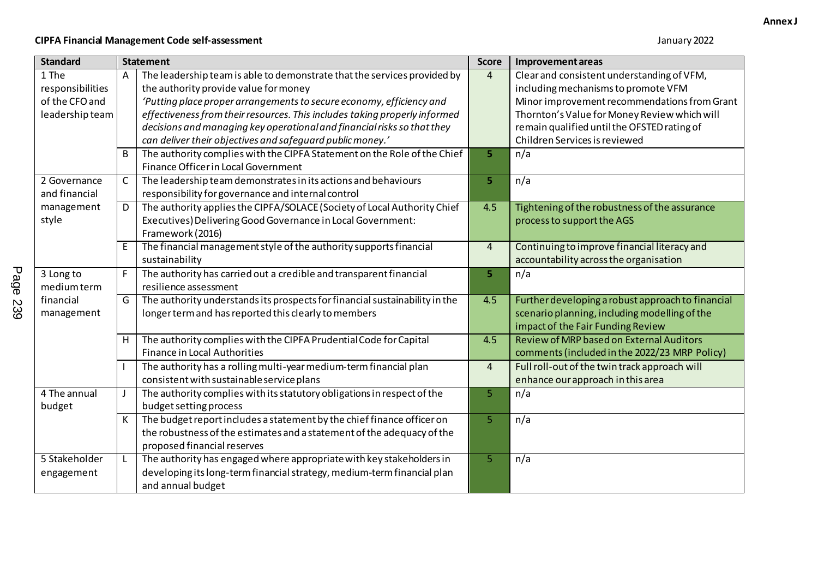## **CIPFA Financial Management Code self-assessment** January 2022

| <b>Standard</b>  | <b>Statement</b> |                                                                             | <b>Score</b>   | Improvement areas                                 |  |
|------------------|------------------|-----------------------------------------------------------------------------|----------------|---------------------------------------------------|--|
| 1 The            | A                | The leadership team is able to demonstrate that the services provided by    | $\overline{4}$ | Clear and consistent understanding of VFM,        |  |
| responsibilities |                  | the authority provide value for money                                       |                | including mechanisms to promote VFM               |  |
| of the CFO and   |                  | 'Putting place proper arrangements to secure economy, efficiency and        |                | Minor improvement recommendations from Grant      |  |
| leadership team  |                  | effectiveness from their resources. This includes taking properly informed  |                | Thornton's Value for Money Review which will      |  |
|                  |                  | decisions and managing key operational and financial risks so that they     |                | remain qualified until the OFSTED rating of       |  |
|                  |                  | can deliver their objectives and safeguard public money.'                   |                | Children Services is reviewed                     |  |
|                  | B                | The authority complies with the CIPFA Statement on the Role of the Chief    | 5.             | n/a                                               |  |
|                  |                  | <b>Finance Officer in Local Government</b>                                  |                |                                                   |  |
| 2 Governance     | C                | The leadership team demonstrates in its actions and behaviours              | 5              | n/a                                               |  |
| and financial    |                  | responsibility for governance and internal control                          |                |                                                   |  |
| management       | D                | The authority applies the CIPFA/SOLACE (Society of Local Authority Chief    | 4.5            | Tightening of the robustness of the assurance     |  |
| style            |                  | Executives) Delivering Good Governance in Local Government:                 |                | process to support the AGS                        |  |
|                  |                  | Framework (2016)                                                            |                |                                                   |  |
|                  | Ε                | The financial management style of the authority supports financial          | $\overline{4}$ | Continuing to improve financial literacy and      |  |
|                  |                  | sustainability                                                              |                | accountability across the organisation            |  |
| 3 Long to        | $\mathsf F$      | The authority has carried out a credible and transparent financial          | 5              | n/a                                               |  |
| medium term      |                  | resilience assessment                                                       |                |                                                   |  |
| financial        | G                | The authority understands its prospects for financial sustainability in the | 4.5            | Further developing a robust approach to financial |  |
| management       |                  | longer term and has reported this clearly to members                        |                | scenario planning, including modelling of the     |  |
|                  |                  |                                                                             |                | impact of the Fair Funding Review                 |  |
|                  | Н                | The authority complies with the CIPFA Prudential Code for Capital           | 4.5            | Review of MRP based on External Auditors          |  |
|                  |                  | <b>Finance in Local Authorities</b>                                         |                | comments (included in the 2022/23 MRP Policy)     |  |
|                  |                  | The authority has a rolling multi-year medium-term financial plan           | $\overline{4}$ | Full roll-out of the twin track approach will     |  |
|                  |                  | consistent with sustainable service plans                                   |                | enhance our approach in this area                 |  |
| 4 The annual     |                  | The authority complies with its statutory obligations in respect of the     | 5              | n/a                                               |  |
| budget           |                  | budget setting process                                                      |                |                                                   |  |
|                  | К                | The budget report includes a statement by the chief finance officer on      | 5              | n/a                                               |  |
|                  |                  | the robustness of the estimates and a statement of the adequacy of the      |                |                                                   |  |
|                  |                  | proposed financial reserves                                                 |                |                                                   |  |
| 5 Stakeholder    |                  | The authority has engaged where appropriate with key stakeholders in        | 5              | n/a                                               |  |
| engagement       |                  | developing its long-term financial strategy, medium-term financial plan     |                |                                                   |  |
|                  |                  | and annual budget                                                           |                |                                                   |  |